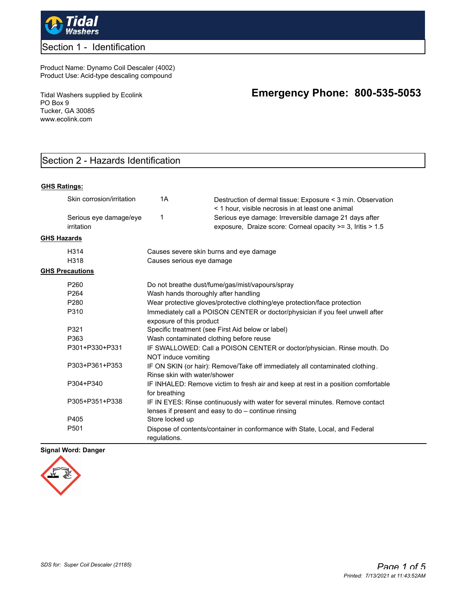

## Section 1 - Identification

Product Name: Dynamo Coil Descaler (4002) Product Use: Acid-type descaling compound

Tidal Washers supplied by Ecolink PO Box 9 Tucker, GA 30085 www.ecolink.com

# **Emergency Phone: 800-535-5053**

# Section 2 - Hazards Identification

#### **GHS Ratings:**

|                    | Skin corrosion/irritation            | 1A                                                                                                                                                                                                                                                        | Destruction of dermal tissue: Exposure < 3 min. Observation<br>< 1 hour, visible necrosis in at least one animal                     |  |  |  |
|--------------------|--------------------------------------|-----------------------------------------------------------------------------------------------------------------------------------------------------------------------------------------------------------------------------------------------------------|--------------------------------------------------------------------------------------------------------------------------------------|--|--|--|
|                    | Serious eye damage/eye<br>irritation | 1                                                                                                                                                                                                                                                         | Serious eye damage: Irreversible damage 21 days after<br>exposure, Draize score: Corneal opacity >= 3, Iritis > 1.5                  |  |  |  |
| <b>GHS Hazards</b> |                                      |                                                                                                                                                                                                                                                           |                                                                                                                                      |  |  |  |
|                    | H <sub>3</sub> 14                    | Causes severe skin burns and eye damage                                                                                                                                                                                                                   |                                                                                                                                      |  |  |  |
|                    | H318                                 | Causes serious eye damage                                                                                                                                                                                                                                 |                                                                                                                                      |  |  |  |
|                    | <b>GHS Precautions</b>               |                                                                                                                                                                                                                                                           |                                                                                                                                      |  |  |  |
|                    | P <sub>260</sub>                     | Do not breathe dust/fume/gas/mist/vapours/spray<br>Wash hands thoroughly after handling                                                                                                                                                                   |                                                                                                                                      |  |  |  |
|                    | P <sub>264</sub>                     |                                                                                                                                                                                                                                                           |                                                                                                                                      |  |  |  |
|                    | P <sub>280</sub>                     | Wear protective gloves/protective clothing/eye protection/face protection                                                                                                                                                                                 |                                                                                                                                      |  |  |  |
|                    | P310                                 | Immediately call a POISON CENTER or doctor/physician if you feel unwell after<br>exposure of this product<br>Specific treatment (see First Aid below or label)                                                                                            |                                                                                                                                      |  |  |  |
|                    | P321                                 |                                                                                                                                                                                                                                                           |                                                                                                                                      |  |  |  |
|                    | P363                                 | Wash contaminated clothing before reuse<br>IF SWALLOWED: Call a POISON CENTER or doctor/physician. Rinse mouth. Do<br>NOT induce vomiting<br>IF ON SKIN (or hair): Remove/Take off immediately all contaminated clothing.<br>Rinse skin with water/shower |                                                                                                                                      |  |  |  |
|                    | P301+P330+P331                       |                                                                                                                                                                                                                                                           |                                                                                                                                      |  |  |  |
|                    | P303+P361+P353                       |                                                                                                                                                                                                                                                           |                                                                                                                                      |  |  |  |
|                    | P304+P340                            | for breathing                                                                                                                                                                                                                                             | IF INHALED: Remove victim to fresh air and keep at rest in a position comfortable                                                    |  |  |  |
|                    | P305+P351+P338                       |                                                                                                                                                                                                                                                           | IF IN EYES: Rinse continuously with water for several minutes. Remove contact<br>lenses if present and easy to do - continue rinsing |  |  |  |
|                    | P405                                 | Store locked up                                                                                                                                                                                                                                           |                                                                                                                                      |  |  |  |
|                    | P <sub>501</sub>                     | regulations.                                                                                                                                                                                                                                              | Dispose of contents/container in conformance with State, Local, and Federal                                                          |  |  |  |

#### **Signal Word: Danger**

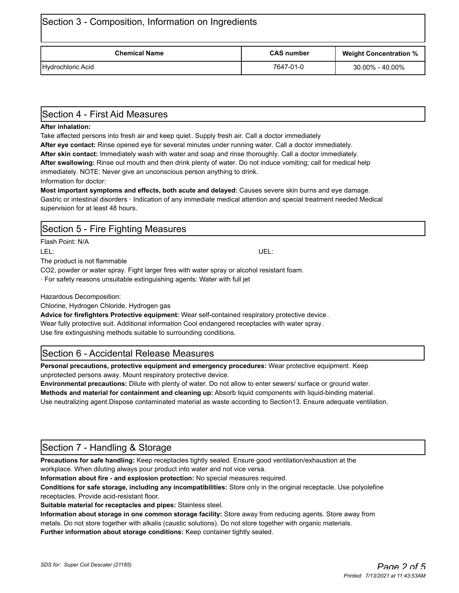| Section 3 - Composition, Information on Ingredients |                   |                               |  |  |  |  |
|-----------------------------------------------------|-------------------|-------------------------------|--|--|--|--|
| <b>Chemical Name</b>                                | <b>CAS number</b> | <b>Weight Concentration %</b> |  |  |  |  |
| Hydrochloric Acid                                   | 7647-01-0         | 30.00% - 40.00%               |  |  |  |  |

# Section 4 - First Aid Measures

#### **After inhalation:**

Take affected persons into fresh air and keep quiet. Supply fresh air. Call a doctor immediately

**After eye contact:** Rinse opened eye for several minutes under running water. Call a doctor immediately. **After skin contact:** Immediately wash with water and soap and rinse thoroughly. Call a doctor immediately. **After swallowing:** Rinse out mouth and then drink plenty of water. Do not induce vomiting; call for medical help immediately. NOTE: Never give an unconscious person anything to drink.

Information for doctor:

**Most important symptoms and effects, both acute and delayed:** Causes severe skin burns and eye damage. Gastric or intestinal disorders · Indication of any immediate medical attention and special treatment needed Medical supervision for at least 48 hours.

## Section 5 - Fire Fighting Measures

Flash Point: N/A

The product is not flammable

CO2, powder or water spray. Fight larger fires with water spray or alcohol resistant foam.

· For safety reasons unsuitable extinguishing agents: Water with full jet

Hazardous Decomposition:

Chlorine, Hydrogen Chloride, Hydrogen gas

**Advice for firefighters Protective equipment:** Wear self-contained respiratory protective device. Wear fully protective suit. Additional information Cool endangered receptacles with water spray . Use fire extinguishing methods suitable to surrounding conditions.

# Section 6 - Accidental Release Measures

**Personal precautions, protective equipment and emergency procedures:** Wear protective equipment. Keep unprotected persons away. Mount respiratory protective device.

**Environmental precautions:** Dilute with plenty of water. Do not allow to enter sewers/ surface or ground water. **Methods and material for containment and cleaning up:** Absorb liquid components with liquid-binding material. Use neutralizing agent.Dispose contaminated material as waste according to Section13. Ensure adequate ventilation.

# Section 7 - Handling & Storage

**Precautions for safe handling:** Keep receptacles tightly sealed. Ensure good ventilation/exhaustion at the workplace. When diluting always pour product into water and not vice versa.

**Information about fire - and explosion protection:** No special measures required.

**Conditions for safe storage, including any incompatibilities:** Store only in the original receptacle. Use polyolefine receptacles. Provide acid-resistant floor.

**Suitable material for receptacles and pipes:** Stainless steel.

**Information about storage in one common storage facility:** Store away from reducing agents. Store away from metals. Do not store together with alkalis (caustic solutions). Do not store together with organic materials. **Further information about storage conditions:** Keep container tightly sealed.

LEL: UEL: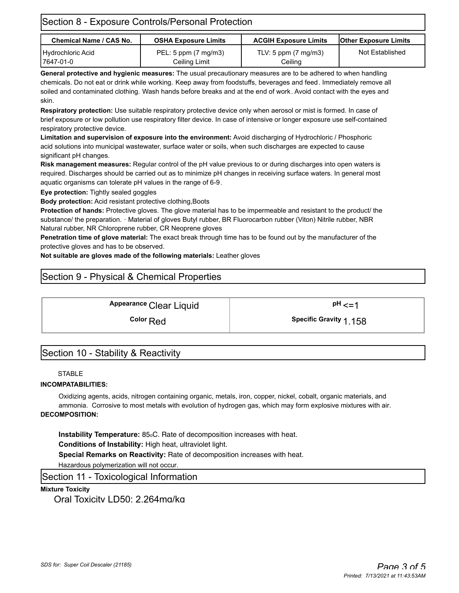| Section 8 - Exposure Controls/Personal Protection |                                       |                                           |                              |  |  |  |
|---------------------------------------------------|---------------------------------------|-------------------------------------------|------------------------------|--|--|--|
| <b>Chemical Name / CAS No.</b>                    | <b>OSHA Exposure Limits</b>           | <b>ACGIH Exposure Limits</b>              | <b>Other Exposure Limits</b> |  |  |  |
| Hydrochloric Acid<br>17647-01-0                   | PEL: 5 ppm (7 mg/m3)<br>Ceiling Limit | TLV: 5 ppm $(7 \text{ mg/m3})$<br>Ceilina | Not Established              |  |  |  |

**General protective and hygienic measures:** The usual precautionary measures are to be adhered to when handling chemicals. Do not eat or drink while working. Keep away from foodstuffs, beverages and feed. Immediately remove all soiled and contaminated clothing. Wash hands before breaks and at the end of work. Avoid contact with the eyes and skin.

**Respiratory protection:** Use suitable respiratory protective device only when aerosol or mist is formed. In case of brief exposure or low pollution use respiratory filter device. In case of intensive or longer exposure use self-contained respiratory protective device.

**Limitation and supervision of exposure into the environment:** Avoid discharging of Hydrochloric / Phosphoric acid solutions into municipal wastewater, surface water or soils, when such discharges are expected to cause significant pH changes.

**Risk management measures:** Regular control of the pH value previous to or during discharges into open waters is required. Discharges should be carried out as to minimize pH changes in receiving surface waters. In general most aquatic organisms can tolerate pH values in the range of 6-9.

**Eye protection:** Tightly sealed goggles

**Body protection:** Acid resistant protective clothing,Boots

**Protection of hands:** Protective gloves. The glove material has to be impermeable and resistant to the product/ the substance/ the preparation. · Material of gloves Butyl rubber, BR Fluorocarbon rubber (Viton) Nitrile rubber, NBR Natural rubber, NR Chloroprene rubber, CR Neoprene gloves

**Penetration time of glove material:** The exact break through time has to be found out by the manufacturer of the protective gloves and has to be observed.

**Not suitable are gloves made of the following materials:** Leather gloves

# Section 9 - Physical & Chemical Properties

Appearance Clear Liquid **a pH** <=1

**Color** Red **Color** 2.158

# Section 10 - Stability & Reactivity

#### **STABLE**

#### **INCOMPATABILITIES:**

Oxidizing agents, acids, nitrogen containing organic, metals, iron, copper, nickel, cobalt, organic materials, and ammonia. Corrosive to most metals with evolution of hydrogen gas, which may form explosive mixtures with air. **DECOMPOSITION:**

**Instability Temperature:** 85.C. Rate of decomposition increases with heat.

**Conditions of Instability:** High heat, ultraviolet light.

**Special Remarks on Reactivity:** Rate of decomposition increases with heat.

Hazardous polymerization will not occur.

Section 11 - Toxicological Information

#### **Mixture Toxicity**

Oral Toxicity LD50: 2,264mg/kg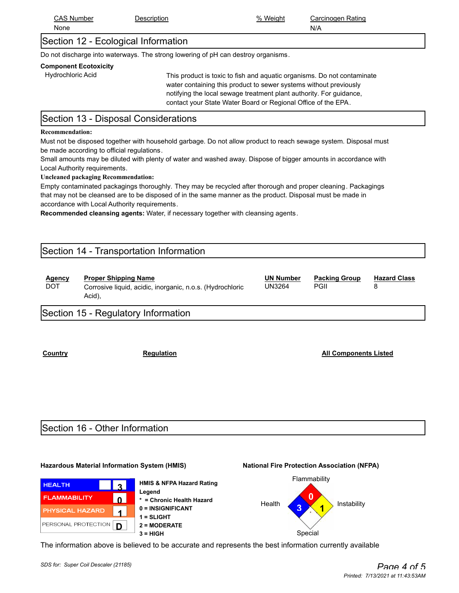| ⊃ ∧ ′    | Jescription | %      | Rating     |
|----------|-------------|--------|------------|
| : Number |             | Weight | Carcinogen |
| None     |             |        | N/A        |

# Section 12 - Ecological Information

Do not discharge into waterways. The strong lowering of pH can destroy organisms.

#### **Component Ecotoxicity**

Hydrochloric Acid This product is toxic to fish and aquatic organisms. Do not contaminate water containing this product to sewer systems without previously notifying the local sewage treatment plant authority. For guidance, contact your State Water Board or Regional Office of the EPA.

# Section 13 - Disposal Considerations

#### **Recommendation:**

Must not be disposed together with household garbage. Do not allow product to reach sewage system. Disposal must be made according to official regulations.

Small amounts may be diluted with plenty of water and washed away. Dispose of bigger amounts in accordance with Local Authority requirements.

#### **Uncleaned packaging Recommendation:**

Empty contaminated packagings thoroughly. They may be recycled after thorough and proper cleaning. Packagings that may not be cleansed are to be disposed of in the same manner as the product. Disposal must be made in accordance with Local Authority requirements.

**Recommended cleansing agents:** Water, if necessary together with cleansing agents.

### Section 14 - Transportation Information

| <b>Proper Shipping Name</b><br><u>Agency</u><br>DOT<br>Corrosive liquid, acidic, inorganic, n.o.s. (Hydrochloric<br>Acid), | <b>UN Number</b><br>UN3264 | <b>Packing Group</b><br>PGII | <b>Hazard Class</b> |  |
|----------------------------------------------------------------------------------------------------------------------------|----------------------------|------------------------------|---------------------|--|
|----------------------------------------------------------------------------------------------------------------------------|----------------------------|------------------------------|---------------------|--|

# Section 15 - Regulatory Information

**Country Regulation Regulation All Components Listed** 

### Section 16 - Other Information

#### **Hazardous Material Information System (HMIS) National Fire Protection Association (NFPA)**









The information above is believed to be accurate and represents the best information currently available